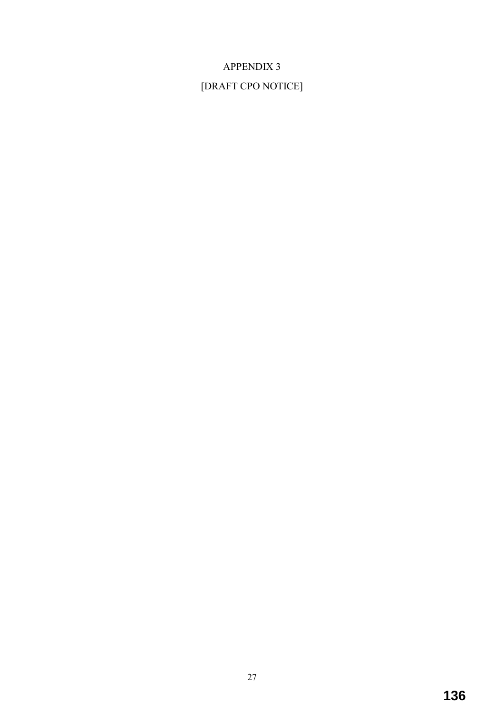# APPENDIX 3

# [DRAFT CPO NOTICE]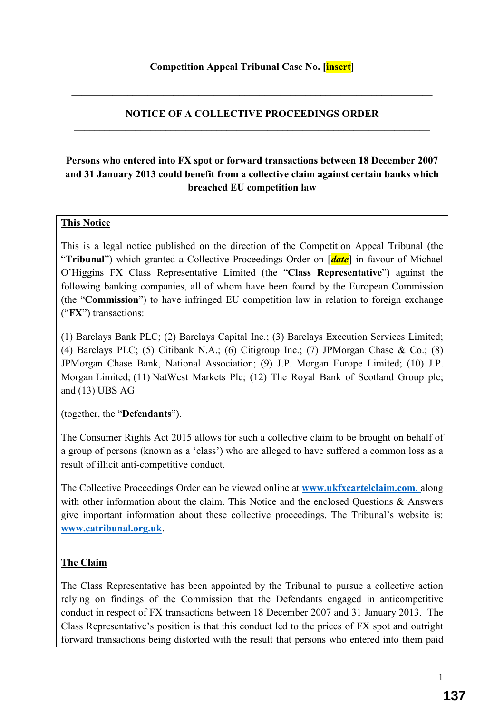#### **NOTICE OF A COLLECTIVE PROCEEDINGS ORDER**   $\mathcal{L}_\mathcal{L} = \{ \mathcal{L}_\mathcal{L} = \{ \mathcal{L}_\mathcal{L} = \{ \mathcal{L}_\mathcal{L} = \{ \mathcal{L}_\mathcal{L} = \{ \mathcal{L}_\mathcal{L} = \{ \mathcal{L}_\mathcal{L} = \{ \mathcal{L}_\mathcal{L} = \{ \mathcal{L}_\mathcal{L} = \{ \mathcal{L}_\mathcal{L} = \{ \mathcal{L}_\mathcal{L} = \{ \mathcal{L}_\mathcal{L} = \{ \mathcal{L}_\mathcal{L} = \{ \mathcal{L}_\mathcal{L} = \{ \mathcal{L}_\mathcal{$

**\_\_\_\_\_\_\_\_\_\_\_\_\_\_\_\_\_\_\_\_\_\_\_\_\_\_\_\_\_\_\_\_\_\_\_\_\_\_\_\_\_\_\_\_\_\_\_\_\_\_\_\_\_\_\_\_\_\_\_\_\_\_\_\_\_\_\_\_\_\_\_** 

## **Persons who entered into FX spot or forward transactions between 18 December 2007 and 31 January 2013 could benefit from a collective claim against certain banks which breached EU competition law**

#### **This Notice**

This is a legal notice published on the direction of the Competition Appeal Tribunal (the "**Tribunal**") which granted a Collective Proceedings Order on [*date*] in favour of Michael O'Higgins FX Class Representative Limited (the "**Class Representative**") against the following banking companies, all of whom have been found by the European Commission (the "**Commission**") to have infringed EU competition law in relation to foreign exchange ("**FX**") transactions:

(1) Barclays Bank PLC; (2) Barclays Capital Inc.; (3) Barclays Execution Services Limited; (4) Barclays PLC; (5) Citibank N.A.; (6) Citigroup Inc.; (7) JPMorgan Chase & Co.; (8) JPMorgan Chase Bank, National Association; (9) J.P. Morgan Europe Limited; (10) J.P. Morgan Limited; (11) NatWest Markets Plc; (12) The Royal Bank of Scotland Group plc; and (13) UBS AG

(together, the "**Defendants**").

The Consumer Rights Act 2015 allows for such a collective claim to be brought on behalf of a group of persons (known as a 'class') who are alleged to have suffered a common loss as a result of illicit anti-competitive conduct.

The Collective Proceedings Order can be viewed online at **www.ukfxcartelclaim.com**, along with other information about the claim. This Notice and the enclosed Questions & Answers give important information about these collective proceedings. The Tribunal's website is: **www.catribunal.org.uk**.

#### **The Claim**

The Class Representative has been appointed by the Tribunal to pursue a collective action relying on findings of the Commission that the Defendants engaged in anticompetitive conduct in respect of FX transactions between 18 December 2007 and 31 January 2013. The Class Representative's position is that this conduct led to the prices of FX spot and outright forward transactions being distorted with the result that persons who entered into them paid

1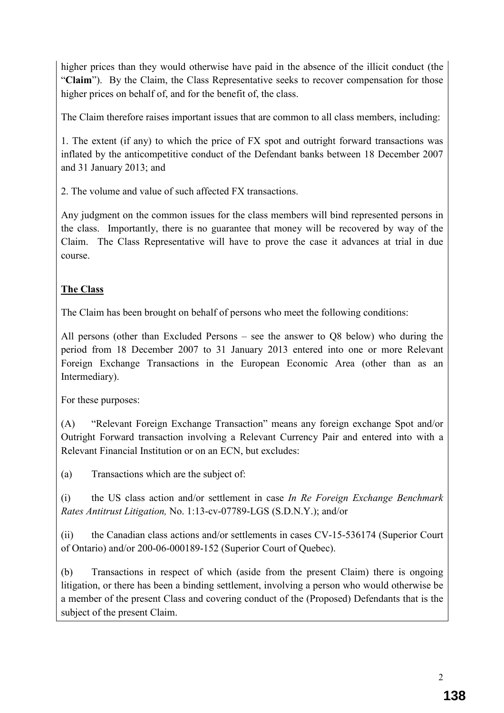higher prices than they would otherwise have paid in the absence of the illicit conduct (the "Claim"). By the Claim, the Class Representative seeks to recover compensation for those higher prices on behalf of, and for the benefit of, the class.

The Claim therefore raises important issues that are common to all class members, including:

1. The extent (if any) to which the price of FX spot and outright forward transactions was inflated by the anticompetitive conduct of the Defendant banks between 18 December 2007 and 31 January 2013; and

2. The volume and value of such affected FX transactions.

Any judgment on the common issues for the class members will bind represented persons in the class. Importantly, there is no guarantee that money will be recovered by way of the Claim. The Class Representative will have to prove the case it advances at trial in due course.

## **The Class**

The Claim has been brought on behalf of persons who meet the following conditions:

All persons (other than Excluded Persons – see the answer to Q8 below) who during the period from 18 December 2007 to 31 January 2013 entered into one or more Relevant Foreign Exchange Transactions in the European Economic Area (other than as an Intermediary).

For these purposes:

(A) "Relevant Foreign Exchange Transaction" means any foreign exchange Spot and/or Outright Forward transaction involving a Relevant Currency Pair and entered into with a Relevant Financial Institution or on an ECN, but excludes:

(a) Transactions which are the subject of:

(i) the US class action and/or settlement in case *In Re Foreign Exchange Benchmark Rates Antitrust Litigation,* No. 1:13-cv-07789-LGS (S.D.N.Y.); and/or

(ii) the Canadian class actions and/or settlements in cases CV-15-536174 (Superior Court of Ontario) and/or 200-06-000189-152 (Superior Court of Quebec).

(b) Transactions in respect of which (aside from the present Claim) there is ongoing litigation, or there has been a binding settlement, involving a person who would otherwise be a member of the present Class and covering conduct of the (Proposed) Defendants that is the subject of the present Claim.

2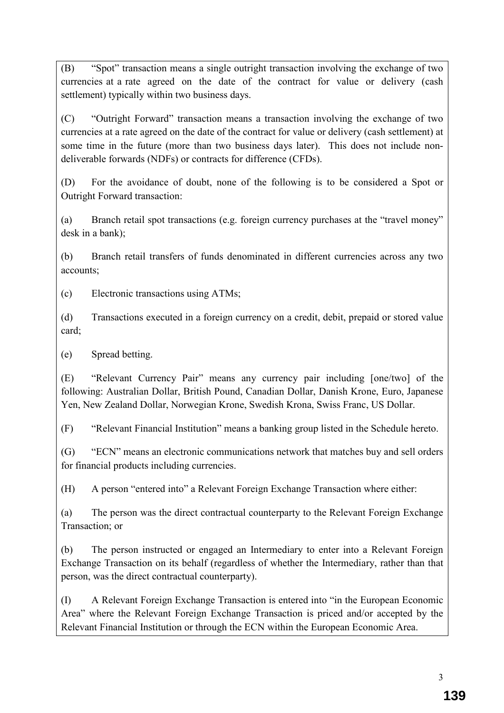(B) "Spot" transaction means a single outright transaction involving the exchange of two currencies at a rate agreed on the date of the contract for value or delivery (cash settlement) typically within two business days.

(C) "Outright Forward" transaction means a transaction involving the exchange of two currencies at a rate agreed on the date of the contract for value or delivery (cash settlement) at some time in the future (more than two business days later). This does not include nondeliverable forwards (NDFs) or contracts for difference (CFDs).

(D) For the avoidance of doubt, none of the following is to be considered a Spot or Outright Forward transaction:

(a) Branch retail spot transactions (e.g. foreign currency purchases at the "travel money" desk in a bank);

(b) Branch retail transfers of funds denominated in different currencies across any two accounts;

(c) Electronic transactions using ATMs;

(d) Transactions executed in a foreign currency on a credit, debit, prepaid or stored value card;

(e) Spread betting.

(E) "Relevant Currency Pair" means any currency pair including [one/two] of the following: Australian Dollar, British Pound, Canadian Dollar, Danish Krone, Euro, Japanese Yen, New Zealand Dollar, Norwegian Krone, Swedish Krona, Swiss Franc, US Dollar.

(F) "Relevant Financial Institution" means a banking group listed in the Schedule hereto.

(G) "ECN" means an electronic communications network that matches buy and sell orders for financial products including currencies.

(H) A person "entered into" a Relevant Foreign Exchange Transaction where either:

(a) The person was the direct contractual counterparty to the Relevant Foreign Exchange Transaction; or

(b) The person instructed or engaged an Intermediary to enter into a Relevant Foreign Exchange Transaction on its behalf (regardless of whether the Intermediary, rather than that person, was the direct contractual counterparty).

(I) A Relevant Foreign Exchange Transaction is entered into "in the European Economic Area" where the Relevant Foreign Exchange Transaction is priced and/or accepted by the Relevant Financial Institution or through the ECN within the European Economic Area.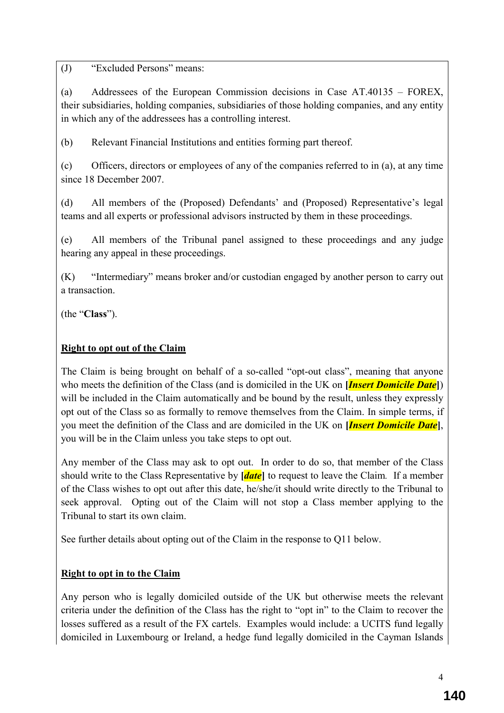(J) "Excluded Persons" means:

(a) Addressees of the European Commission decisions in Case AT.40135 – FOREX, their subsidiaries, holding companies, subsidiaries of those holding companies, and any entity in which any of the addressees has a controlling interest.

(b) Relevant Financial Institutions and entities forming part thereof.

(c) Officers, directors or employees of any of the companies referred to in (a), at any time since 18 December 2007.

(d) All members of the (Proposed) Defendants' and (Proposed) Representative's legal teams and all experts or professional advisors instructed by them in these proceedings.

(e) All members of the Tribunal panel assigned to these proceedings and any judge hearing any appeal in these proceedings.

(K) "Intermediary" means broker and/or custodian engaged by another person to carry out a transaction.

(the "**Class**").

## **Right to opt out of the Claim**

The Claim is being brought on behalf of a so-called "opt-out class", meaning that anyone who meets the definition of the Class (and is domiciled in the UK on **[***Insert Domicile Date***]**) will be included in the Claim automatically and be bound by the result, unless they expressly opt out of the Class so as formally to remove themselves from the Claim. In simple terms, if you meet the definition of the Class and are domiciled in the UK on **[***Insert Domicile Date***]**, you will be in the Claim unless you take steps to opt out.

Any member of the Class may ask to opt out. In order to do so, that member of the Class should write to the Class Representative by **[***date***]** to request to leave the Claim*.* If a member of the Class wishes to opt out after this date, he/she/it should write directly to the Tribunal to seek approval. Opting out of the Claim will not stop a Class member applying to the Tribunal to start its own claim.

See further details about opting out of the Claim in the response to Q11 below.

## **Right to opt in to the Claim**

Any person who is legally domiciled outside of the UK but otherwise meets the relevant criteria under the definition of the Class has the right to "opt in" to the Claim to recover the losses suffered as a result of the FX cartels. Examples would include: a UCITS fund legally domiciled in Luxembourg or Ireland, a hedge fund legally domiciled in the Cayman Islands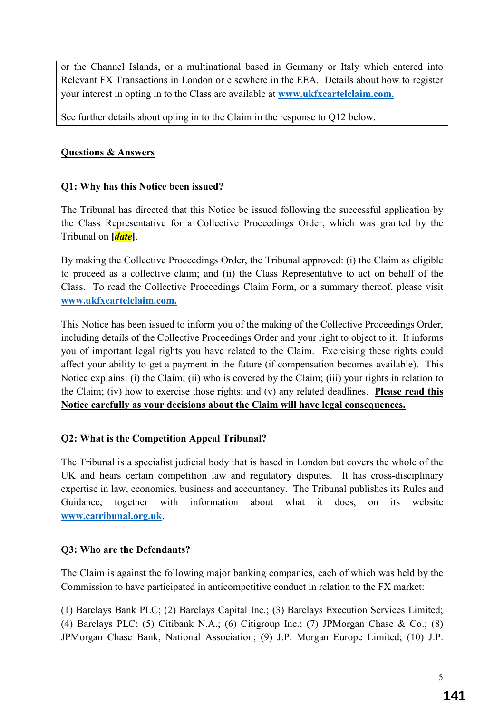or the Channel Islands, or a multinational based in Germany or Italy which entered into Relevant FX Transactions in London or elsewhere in the EEA. Details about how to register your interest in opting in to the Class are available at **www.ukfxcartelclaim.com.** 

See further details about opting in to the Claim in the response to Q12 below.

## **Questions & Answers**

## **Q1: Why has this Notice been issued?**

The Tribunal has directed that this Notice be issued following the successful application by the Class Representative for a Collective Proceedings Order, which was granted by the Tribunal on **[***date***]**.

By making the Collective Proceedings Order, the Tribunal approved: (i) the Claim as eligible to proceed as a collective claim; and (ii) the Class Representative to act on behalf of the Class. To read the Collective Proceedings Claim Form, or a summary thereof, please visit **www.ukfxcartelclaim.com.**

This Notice has been issued to inform you of the making of the Collective Proceedings Order, including details of the Collective Proceedings Order and your right to object to it. It informs you of important legal rights you have related to the Claim. Exercising these rights could affect your ability to get a payment in the future (if compensation becomes available). This Notice explains: (i) the Claim; (ii) who is covered by the Claim; (iii) your rights in relation to the Claim; (iv) how to exercise those rights; and (v) any related deadlines. **Please read this Notice carefully as your decisions about the Claim will have legal consequences.**

## **Q2: What is the Competition Appeal Tribunal?**

The Tribunal is a specialist judicial body that is based in London but covers the whole of the UK and hears certain competition law and regulatory disputes. It has cross-disciplinary expertise in law, economics, business and accountancy. The Tribunal publishes its Rules and Guidance, together with information about what it does, on its website **www.catribunal.org.uk**.

## **Q3: Who are the Defendants?**

The Claim is against the following major banking companies, each of which was held by the Commission to have participated in anticompetitive conduct in relation to the FX market:

(1) Barclays Bank PLC; (2) Barclays Capital Inc.; (3) Barclays Execution Services Limited; (4) Barclays PLC; (5) Citibank N.A.; (6) Citigroup Inc.; (7) JPMorgan Chase & Co.; (8) JPMorgan Chase Bank, National Association; (9) J.P. Morgan Europe Limited; (10) J.P.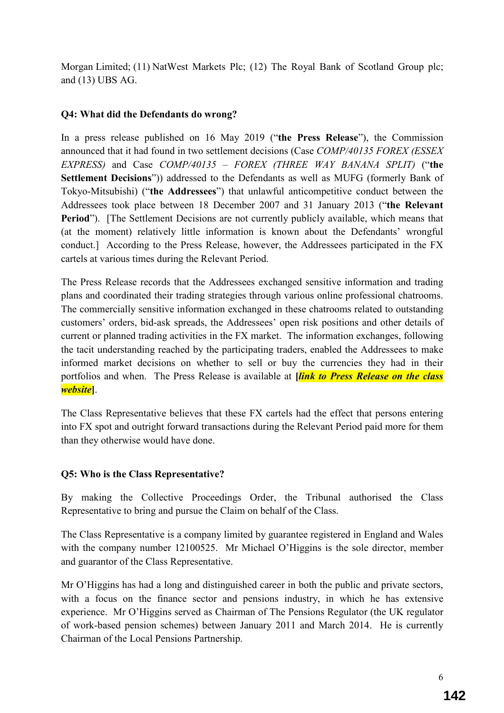Morgan Limited; (11) NatWest Markets Plc; (12) The Royal Bank of Scotland Group plc; and (13) UBS AG.

## **Q4: What did the Defendants do wrong?**

In a press release published on 16 May 2019 ("**the Press Release**"), the Commission announced that it had found in two settlement decisions (Case *COMP/40135 FOREX (ESSEX EXPRESS)* and Case *COMP/40135 – FOREX (THREE WAY BANANA SPLIT)* ("**the Settlement Decisions**")) addressed to the Defendants as well as MUFG (formerly Bank of Tokyo-Mitsubishi) ("**the Addressees**") that unlawful anticompetitive conduct between the Addressees took place between 18 December 2007 and 31 January 2013 ("**the Relevant Period**"). [The Settlement Decisions are not currently publicly available, which means that (at the moment) relatively little information is known about the Defendants' wrongful conduct.] According to the Press Release, however, the Addressees participated in the FX cartels at various times during the Relevant Period.

The Press Release records that the Addressees exchanged sensitive information and trading plans and coordinated their trading strategies through various online professional chatrooms. The commercially sensitive information exchanged in these chatrooms related to outstanding customers' orders, bid-ask spreads, the Addressees' open risk positions and other details of current or planned trading activities in the FX market. The information exchanges, following the tacit understanding reached by the participating traders, enabled the Addressees to make informed market decisions on whether to sell or buy the currencies they had in their portfolios and when. The Press Release is available at **[***link to Press Release on the class website***]**.

The Class Representative believes that these FX cartels had the effect that persons entering into FX spot and outright forward transactions during the Relevant Period paid more for them than they otherwise would have done.

## **Q5: Who is the Class Representative?**

By making the Collective Proceedings Order, the Tribunal authorised the Class Representative to bring and pursue the Claim on behalf of the Class.

The Class Representative is a company limited by guarantee registered in England and Wales with the company number 12100525. Mr Michael O'Higgins is the sole director, member and guarantor of the Class Representative.

Mr O'Higgins has had a long and distinguished career in both the public and private sectors, with a focus on the finance sector and pensions industry, in which he has extensive experience. Mr O'Higgins served as Chairman of The Pensions Regulator (the UK regulator of work-based pension schemes) between January 2011 and March 2014. He is currently Chairman of the Local Pensions Partnership.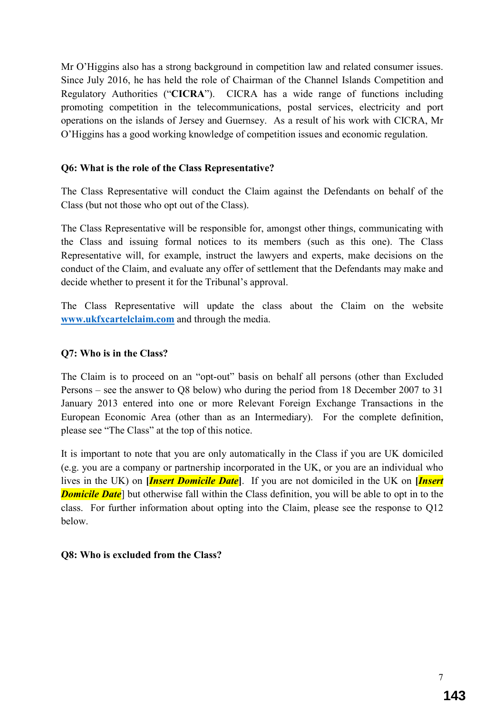Mr O'Higgins also has a strong background in competition law and related consumer issues. Since July 2016, he has held the role of Chairman of the Channel Islands Competition and Regulatory Authorities ("**CICRA**"). CICRA has a wide range of functions including promoting competition in the telecommunications, postal services, electricity and port operations on the islands of Jersey and Guernsey. As a result of his work with CICRA, Mr O'Higgins has a good working knowledge of competition issues and economic regulation.

## **Q6: What is the role of the Class Representative?**

The Class Representative will conduct the Claim against the Defendants on behalf of the Class (but not those who opt out of the Class).

The Class Representative will be responsible for, amongst other things, communicating with the Class and issuing formal notices to its members (such as this one). The Class Representative will, for example, instruct the lawyers and experts, make decisions on the conduct of the Claim, and evaluate any offer of settlement that the Defendants may make and decide whether to present it for the Tribunal's approval.

The Class Representative will update the class about the Claim on the website **www.ukfxcartelclaim.com** and through the media.

#### **Q7: Who is in the Class?**

The Claim is to proceed on an "opt-out" basis on behalf all persons (other than Excluded Persons – see the answer to Q8 below) who during the period from 18 December 2007 to 31 January 2013 entered into one or more Relevant Foreign Exchange Transactions in the European Economic Area (other than as an Intermediary). For the complete definition, please see "The Class" at the top of this notice.

It is important to note that you are only automatically in the Class if you are UK domiciled (e.g. you are a company or partnership incorporated in the UK, or you are an individual who lives in the UK) on **[***Insert Domicile Date***]**. If you are not domiciled in the UK on **[***Insert Domicile Date* but otherwise fall within the Class definition, you will be able to opt in to the class. For further information about opting into the Claim, please see the response to Q12 below.

#### **Q8: Who is excluded from the Class?**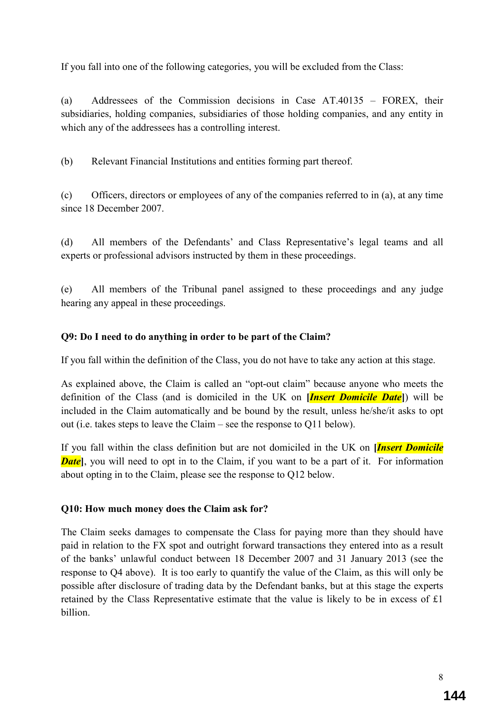If you fall into one of the following categories, you will be excluded from the Class:

(a) Addressees of the Commission decisions in Case AT.40135 – FOREX, their subsidiaries, holding companies, subsidiaries of those holding companies, and any entity in which any of the addressees has a controlling interest.

(b) Relevant Financial Institutions and entities forming part thereof.

(c) Officers, directors or employees of any of the companies referred to in (a), at any time since 18 December 2007.

(d) All members of the Defendants' and Class Representative's legal teams and all experts or professional advisors instructed by them in these proceedings.

(e) All members of the Tribunal panel assigned to these proceedings and any judge hearing any appeal in these proceedings.

## **Q9: Do I need to do anything in order to be part of the Claim?**

If you fall within the definition of the Class, you do not have to take any action at this stage.

As explained above, the Claim is called an "opt-out claim" because anyone who meets the definition of the Class (and is domiciled in the UK on **[***Insert Domicile Date***]**) will be included in the Claim automatically and be bound by the result, unless he/she/it asks to opt out (i.e. takes steps to leave the Claim – see the response to Q11 below).

If you fall within the class definition but are not domiciled in the UK on **[***Insert Domicile Date*, you will need to opt in to the Claim, if you want to be a part of it. For information about opting in to the Claim, please see the response to Q12 below.

#### **Q10: How much money does the Claim ask for?**

The Claim seeks damages to compensate the Class for paying more than they should have paid in relation to the FX spot and outright forward transactions they entered into as a result of the banks' unlawful conduct between 18 December 2007 and 31 January 2013 (see the response to Q4 above). It is too early to quantify the value of the Claim, as this will only be possible after disclosure of trading data by the Defendant banks, but at this stage the experts retained by the Class Representative estimate that the value is likely to be in excess of £1 billion.

8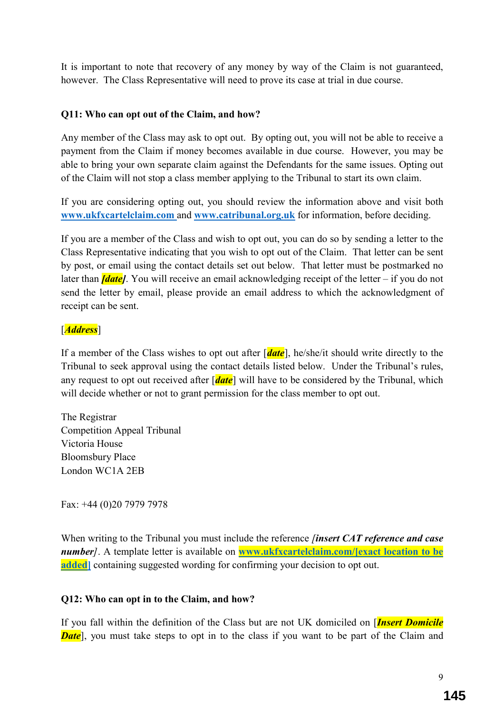It is important to note that recovery of any money by way of the Claim is not guaranteed, however. The Class Representative will need to prove its case at trial in due course.

#### **Q11: Who can opt out of the Claim, and how?**

Any member of the Class may ask to opt out. By opting out, you will not be able to receive a payment from the Claim if money becomes available in due course. However, you may be able to bring your own separate claim against the Defendants for the same issues. Opting out of the Claim will not stop a class member applying to the Tribunal to start its own claim.

If you are considering opting out, you should review the information above and visit both **www.ukfxcartelclaim.com** and **www.catribunal.org.uk** for information, before deciding.

If you are a member of the Class and wish to opt out, you can do so by sending a letter to the Class Representative indicating that you wish to opt out of the Claim. That letter can be sent by post, or email using the contact details set out below. That letter must be postmarked no later than *[date]*. You will receive an email acknowledging receipt of the letter – if you do not send the letter by email, please provide an email address to which the acknowledgment of receipt can be sent.

## [*Address*]

If a member of the Class wishes to opt out after [*date*], he/she/it should write directly to the Tribunal to seek approval using the contact details listed below. Under the Tribunal's rules, any request to opt out received after [*date*] will have to be considered by the Tribunal, which will decide whether or not to grant permission for the class member to opt out.

The Registrar Competition Appeal Tribunal Victoria House Bloomsbury Place London WC1A 2EB

Fax: +44 (0)20 7979 7978

When writing to the Tribunal you must include the reference *[insert CAT reference and case number]*. A template letter is available on **www.ukfxcartelclaim.com/[exact location to be added** containing suggested wording for confirming your decision to opt out.

## **Q12: Who can opt in to the Claim, and how?**

If you fall within the definition of the Class but are not UK domiciled on [*Insert Domicile Date*, you must take steps to opt in to the class if you want to be part of the Claim and